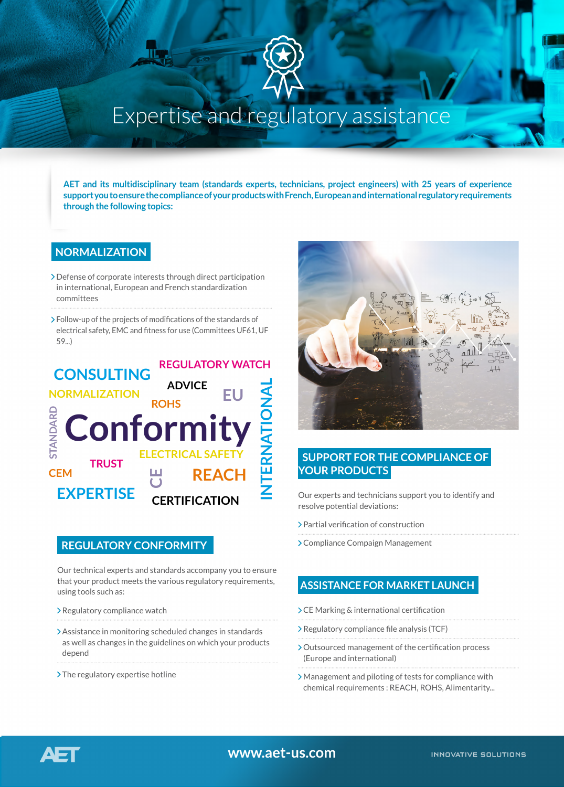

# Expertise and regulatory assistance

**AET and its multidisciplinary team (standards experts, technicians, project engineers) with 25 years of experience support you to ensure the compliance of your products with French, European and international regulatory requirements through the following topics:**

# **NORMALIZATION**

- Defense of corporate interests through direct participation in international, European and French standardization committees
- Follow-up of the projects of modifications of the standards of electrical safety, EMC and fitness for use (Committees UF61, UF 59...)



# **REGULATORY CONFORMITY**

Our technical experts and standards accompany you to ensure that your product meets the various regulatory requirements, using tools such as:

- Regulatory compliance watch
- Assistance in monitoring scheduled changes in standards as well as changes in the guidelines on which your products depend
- $\sum$ The regulatory expertise hotline



# **SUPPORT FOR THE COMPLIANCE OF YOUR PRODUCTS**

Our experts and technicians support you to identify and resolve potential deviations:

- Partial verification of construction
- Compliance Compaign Management

# **ASSISTANCE FOR MARKET LAUNCH**

- CE Marking & international certification
- Regulatory compliance file analysis (TCF)
- Outsourced management of the certification process (Europe and international)
- Management and piloting of tests for compliance with chemical requirements : REACH, ROHS, Alimentarity...